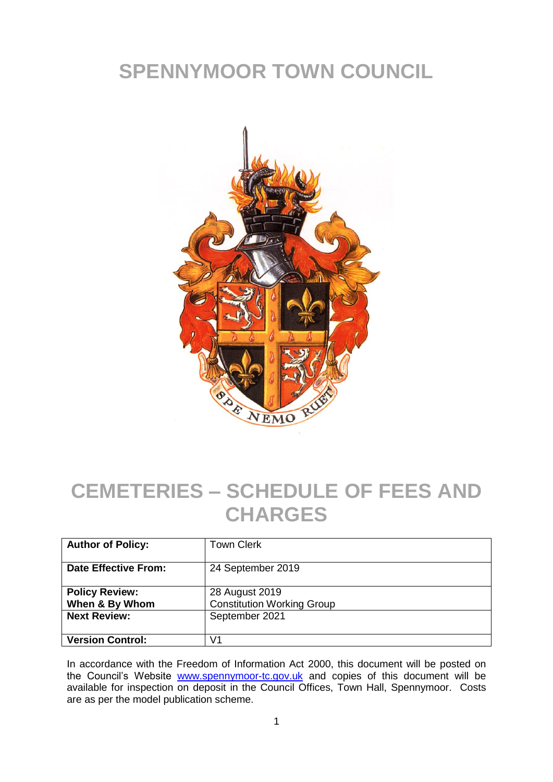# **SPENNYMOOR TOWN COUNCIL**



# **CEMETERIES – SCHEDULE OF FEES AND CHARGES**

| <b>Author of Policy:</b>                | <b>Town Clerk</b>                                   |
|-----------------------------------------|-----------------------------------------------------|
| <b>Date Effective From:</b>             | 24 September 2019                                   |
| <b>Policy Review:</b><br>When & By Whom | 28 August 2019<br><b>Constitution Working Group</b> |
| <b>Next Review:</b>                     | September 2021                                      |
| <b>Version Control:</b>                 | V1                                                  |

In accordance with the Freedom of Information Act 2000, this document will be posted on the Council's Website [www.spennymoor-tc.gov.uk](http://www.spennymoor-tc.gov.uk/) and copies of this document will be available for inspection on deposit in the Council Offices, Town Hall, Spennymoor. Costs are as per the model publication scheme.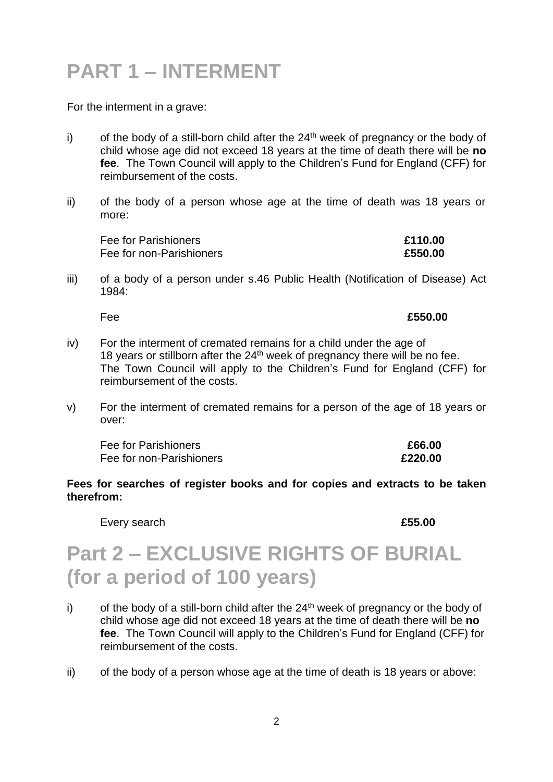# **PART 1 – INTERMENT**

For the interment in a grave:

- i) of the body of a still-born child after the  $24<sup>th</sup>$  week of pregnancy or the body of child whose age did not exceed 18 years at the time of death there will be **no fee**. The Town Council will apply to the Children's Fund for England (CFF) for reimbursement of the costs.
- ii) of the body of a person whose age at the time of death was 18 years or more:

| Fee for Parishioners     | £110.00 |
|--------------------------|---------|
| Fee for non-Parishioners | £550.00 |

iii) of a body of a person under s.46 Public Health (Notification of Disease) Act 1984:

Fee **£550.00**

- iv) For the interment of cremated remains for a child under the age of 18 years or stillborn after the  $24<sup>th</sup>$  week of pregnancy there will be no fee. The Town Council will apply to the Children's Fund for England (CFF) for reimbursement of the costs.
- v) For the interment of cremated remains for a person of the age of 18 years or over:

| Fee for Parishioners     | £66.00  |
|--------------------------|---------|
| Fee for non-Parishioners | £220.00 |

#### **Fees for searches of register books and for copies and extracts to be taken therefrom:**

Every search **Every search 2008** 

# **Part 2 – EXCLUSIVE RIGHTS OF BURIAL (for a period of 100 years)**

- i) of the body of a still-born child after the  $24<sup>th</sup>$  week of pregnancy or the body of child whose age did not exceed 18 years at the time of death there will be **no fee**. The Town Council will apply to the Children's Fund for England (CFF) for reimbursement of the costs.
- ii) of the body of a person whose age at the time of death is 18 years or above: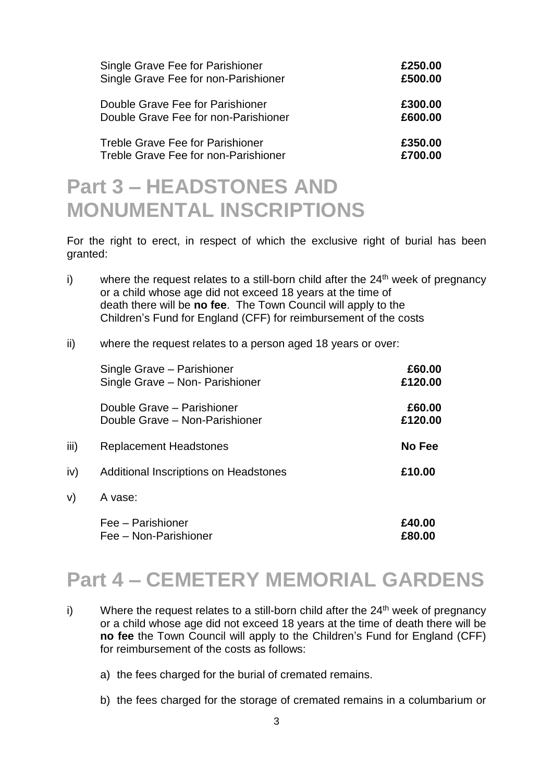| Single Grave Fee for Parishioner        | £250.00 |
|-----------------------------------------|---------|
| Single Grave Fee for non-Parishioner    | £500.00 |
| Double Grave Fee for Parishioner        | £300.00 |
| Double Grave Fee for non-Parishioner    | £600.00 |
| <b>Treble Grave Fee for Parishioner</b> | £350.00 |
| Treble Grave Fee for non-Parishioner    | £700.00 |

### **Part 3 – HEADSTONES AND MONUMENTAL INSCRIPTIONS**

For the right to erect, in respect of which the exclusive right of burial has been granted:

i) where the request relates to a still-born child after the  $24<sup>th</sup>$  week of pregnancy or a child whose age did not exceed 18 years at the time of death there will be **no fee**. The Town Council will apply to the Children's Fund for England (CFF) for reimbursement of the costs

#### ii) where the request relates to a person aged 18 years or over:

|      | Single Grave - Parishioner            | £60.00  |
|------|---------------------------------------|---------|
|      | Single Grave - Non- Parishioner       | £120.00 |
|      | Double Grave - Parishioner            | £60.00  |
|      | Double Grave - Non-Parishioner        | £120.00 |
| iii) | Replacement Headstones                | No Fee  |
| iv)  | Additional Inscriptions on Headstones | £10.00  |
| V)   | A vase:                               |         |
|      | Fee - Parishioner                     | £40.00  |
|      | Fee - Non-Parishioner                 | £80.00  |

# **Part 4 – CEMETERY MEMORIAL GARDENS**

- i) Where the request relates to a still-born child after the  $24<sup>th</sup>$  week of pregnancy or a child whose age did not exceed 18 years at the time of death there will be **no fee** the Town Council will apply to the Children's Fund for England (CFF) for reimbursement of the costs as follows:
	- a) the fees charged for the burial of cremated remains.
	- b) the fees charged for the storage of cremated remains in a columbarium or